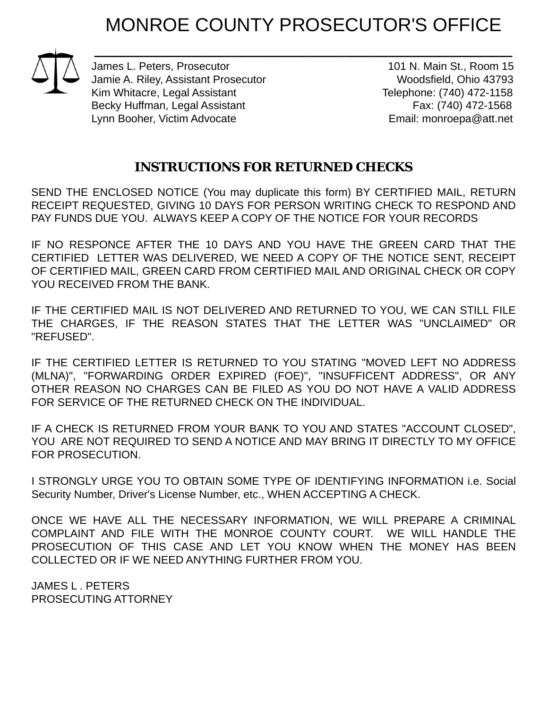## MONROE COUNTY PROSECUTOR'S OFFICE

 $\overline{\phantom{a}}$  , and the contract of the contract of the contract of the contract of the contract of the contract of the contract of the contract of the contract of the contract of the contract of the contract of the contrac James L. Peters, Prosecutor 101 N. Main St., Room 15 Jamie A. Riley, Assistant Prosecutor New Yoodsfield, Ohio 43793 Kim Whitacre, Legal Assistant Telephone: (740) 472-1158 Becky Huffman, Legal Assistant Fax: (740) 472-1568 Lynn Booher, Victim Advocate **Email:** monroepa@att.net

## **INSTRUCTIONS FOR RETURNED CHECKS**

SEND THE ENCLOSED NOTICE (You may duplicate this form) BY CERTIFIED MAIL, RETURN RECEIPT REQUESTED, GIVING 10 DAYS FOR PERSON WRITING CHECK TO RESPOND AND PAY FUNDS DUE YOU. ALWAYS KEEP A COPY OF THE NOTICE FOR YOUR RECORDS

IF NO RESPONCE AFTER THE 10 DAYS AND YOU HAVE THE GREEN CARD THAT THE CERTIFIED LETTER WAS DELIVERED, WE NEED A COPY OF THE NOTICE SENT, RECEIPT OF CERTIFIED MAIL, GREEN CARD FROM CERTIFIED MAIL AND ORIGINAL CHECK OR COPY YOU RECEIVED FROM THE BANK.

IF THE CERTIFIED MAIL IS NOT DELIVERED AND RETURNED TO YOU, WE CAN STILL FILE THE CHARGES, IF THE REASON STATES THAT THE LETTER WAS "UNCLAIMED" OR "REFUSED".

IF THE CERTIFIED LETTER IS RETURNED TO YOU STATING "MOVED LEFT NO ADDRESS (MLNA)", "FORWARDING ORDER EXPIRED (FOE)", "INSUFFICENT ADDRESS", OR ANY OTHER REASON NO CHARGES CAN BE FILED AS YOU DO NOT HAVE A VALID ADDRESS FOR SERVICE OF THE RETURNED CHECK ON THE INDIVIDUAL.

IF A CHECK IS RETURNED FROM YOUR BANK TO YOU AND STATES "ACCOUNT CLOSED", YOU ARE NOT REQUIRED TO SEND A NOTICE AND MAY BRING IT DIRECTLY TO MY OFFICE FOR PROSECUTION.

I STRONGLY URGE YOU TO OBTAIN SOME TYPE OF IDENTIFYING INFORMATION i.e. Social Security Number, Driver's License Number, etc., WHEN ACCEPTING A CHECK.

ONCE WE HAVE ALL THE NECESSARY INFORMATION, WE WILL PREPARE A CRIMINAL COMPLAINT AND FILE WITH THE MONROE COUNTY COURT. WE WILL HANDLE THE PROSECUTION OF THIS CASE AND LET YOU KNOW WHEN THE MONEY HAS BEEN COLLECTED OR IF WE NEED ANYTHING FURTHER FROM YOU.

JAMES L . PETERS PROSECUTING ATTORNEY